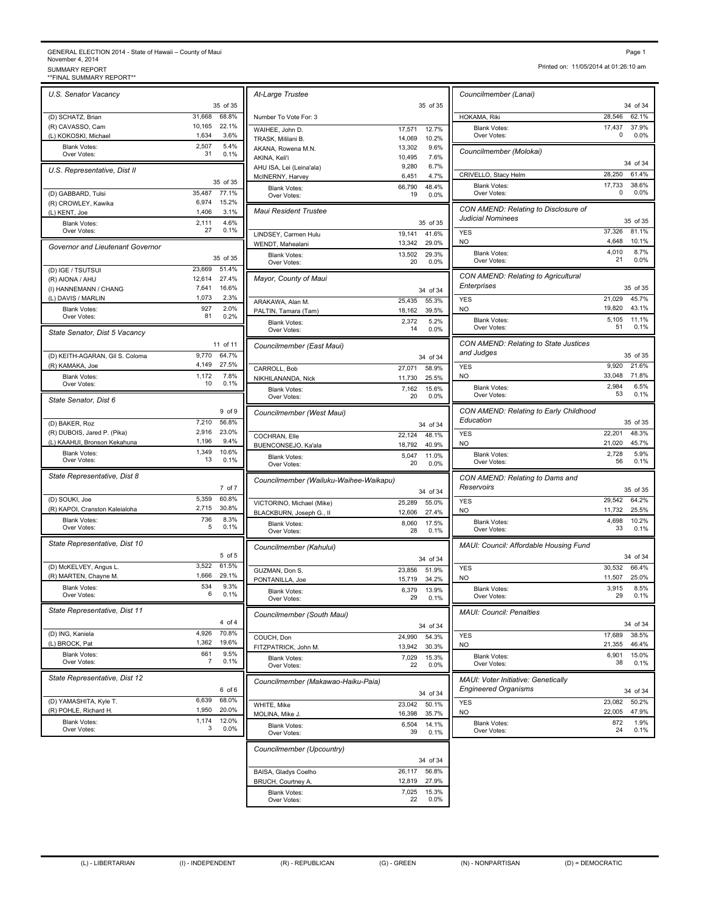## GENERAL ELECTION 2014 - State of Hawaii – County of Maui November 4, 2014<br>SUMMARY REPORT<br>\*\*FINAL SUMMARY REPORT\*\* Page 1<br>November 4, 2014<br>SUMMARY REPORT<br>\*\*FINAL SUMMARY REPORT\*\*<br>\*\*FINAL SUMMARY REPORT\*\*

*U.S. Senator Vacancy* 35 of 35 (D) SCHATZ, Brian 31,668 68.8% (R) CAVASSO, Cam 10,165 22.1% (L) KOKOSKI, Michael 1,634 3.6% Blank Votes: 2,507 5.4%<br>Over Votes: 31 0.1% Over Votes: 5.4% *U.S. Representative, Dist II* 35 of 35 (D) GABBARD, Tulsi 35,487 77.1% (R) CROWLEY, Kawika 6,974 15.2% (L) KENT, Joe 1,406 3.1% Blank Votes: 2,111 Over Votes: 27 0.1%  $4.6\%$ <br> $0.1\%$ *Governor and Lieutenant Governor* 35 of 35 (D) IGE / TSUTSUI 23,669 51.4% (R) AIONA / AHU 12,614 27.4% (I) HANNEMANN / CHANG 7,641 16.6%<br>(L) DAVIS / MARLIN 1,073 2.3% (L) DAVIS / MARLIN Blank Votes: 927 2.0%<br>Over Votes: 81 0.2% Over Votes: *State Senator, Dist 5 Vacancy* 11 of 11 (D) KEITH-AGARAN, Gil S. Coloma 9,770 64.7%<br>
(R) KAMAKA, Joe 4,149 27.5% (R) KAMAKA, Joe Blank Votes: 1,172 Over Votes: 10 0.1% 7.8% *State Senator, Dist 6* 9 of 9 (D) BAKER, Roz 7,210 56.8%<br>
(R) DUBOIS, Jared P. (Pika) 2,916 23.0% (R) DUBOIS, Jared P. (Pika) 2,916 23.0%<br>(L) KAAHUI, Bronson Kekahuna 1,196 9.4% (L) KAAHUI, Bronson Kekahuna Blank Votes: 1,349 10.6%<br>Over Votes: 13 0.1% Over Votes:  $\frac{13}{2}$  0.1% || District Votes: 1,349 10.6% *State Representative, Dist 8* 7 of 7 (D) SOUKI, Joe 5,359 60.8%<br>
(R) KAPOI, Cranston Kaleialoha 2,715 30.8% (R) KAPOI, Cranston Kaleialoha Blank Votes: 736 8.3%<br>Over Votes: 5 0.1% Over Votes: 8.3% *State Representative, Dist 10* 5 of 5 (D) McKELVEY, Angus L. 3,522 61.5%<br>
(R) MARTEN. Chavne M. 3,666 29.1% (R) MARTEN, Chayne M. Blank Votes: 534 9.3%<br>Civer Votes: 6 0.1% Over Votes: 6 0.1% | District Over Votes: 9.3% *State Representative, Dist 11* 4 of 4 (D) ING, Kaniela 4,926 70.8% (L) BROCK, Pat 1,362 19.6% Blank Votes: 661 9.5%<br>Over Votes: 7 0.1% Over Votes:  $\begin{array}{ccc} 7 & 0.1\% \\ 0 & \text{D} \end{array}$  9.5% *State Representative, Dist 12* 6 of 6 (D) YAMASHITA, Kyle T. 6,639 68.0% (R) POHLE, Richard H. 1,950 20.0% Blank Votes: 1,174 Over Votes: 3 0.0%  $12.0\%$ <br>0.0%

|                | At-Large Trustee                         |                                    | Councilmember (Lanai)                   |
|----------------|------------------------------------------|------------------------------------|-----------------------------------------|
| of 35          |                                          | 35 of 35                           |                                         |
| 38.8%<br>22.1% | Number To Vote For: 3                    |                                    | HOKAMA, Riki                            |
| 3.6%           | WAIHEE, John D.<br>TRASK, Mililani B.    | 17,571<br>12.7%<br>14,069<br>10.2% | Blank Votes:<br>Over Votes:             |
| 5.4%           | AKANA, Rowena M.N.                       | 13,302<br>9.6%                     | Councilmember (Molokai)                 |
| 0.1%           | AKINA, Keli'i                            | 7.6%<br>10,495                     |                                         |
|                | AHU ISA, Lei (Leina'ala)                 | 6.7%<br>9,280<br>6,451<br>4.7%     | CRIVELLO, Stacy Helm                    |
| of 35          | McINERNY, Harvey<br><b>Blank Votes:</b>  | 66,790<br>48.4%                    | <b>Blank Votes:</b>                     |
| 7.1%           | Over Votes:                              | 0.0%<br>19                         | Over Votes:                             |
| 15.2%<br>3.1%  | <b>Maui Resident Trustee</b>             |                                    | CON AMEND: Relating to L                |
| 4.6%           |                                          | 35 of 35                           | <b>Judicial Nominees</b>                |
| 0.1%           | LINDSEY, Carmen Hulu                     | 19.141<br>41.6%                    | YES                                     |
|                | WENDT, Mahealani                         | 13,342<br>29.0%                    | NO                                      |
| of 35          | <b>Blank Votes:</b><br>Over Votes:       | 13,502<br>29.3%<br>20<br>0.0%      | <b>Blank Votes:</b><br>Over Votes:      |
| 51.4%          |                                          |                                    |                                         |
| 27.4%          | Mayor, County of Maui                    |                                    | CON AMEND: Relating to A<br>Enterprises |
| 16.6%<br>2.3%  |                                          | 34 of 34                           | <b>YES</b>                              |
| 2.0%           | ARAKAWA, Alan M.<br>PALTIN, Tamara (Tam) | 25,435<br>55.3%<br>18,162<br>39.5% | <b>NO</b>                               |
| 0.2%           | <b>Blank Votes:</b>                      | 2,372<br>5.2%                      | <b>Blank Votes:</b>                     |
|                | Over Votes:                              | 14<br>0.0%                         | Over Votes:                             |
| of 11          | Councilmember (East Maui)                |                                    | CON AMEND: Relating to S                |
| 64.7%          |                                          | 34 of 34                           | and Judges                              |
| 27.5%          | CARROLL, Bob                             | 27,071<br>58.9%                    | <b>YES</b>                              |
| 7.8%<br>0.1%   | NIKHILANANDA, Nick                       | 11,730<br>25.5%                    | <b>NO</b>                               |
|                | <b>Blank Votes:</b><br>Over Votes:       | 7,162<br>15.6%<br>20<br>0.0%       | <b>Blank Votes:</b><br>Over Votes:      |
|                |                                          |                                    |                                         |
| d of 9         | Councilmember (West Maui)                |                                    | CON AMEND: Relating to E<br>Education   |
| 56.8%<br>23.0% |                                          | 34 of 34                           |                                         |
| 9.4%           | COCHRAN, Elle<br>BUENCONSEJO, Ka'ala     | 22,124<br>48.1%<br>18,792<br>40.9% | <b>YES</b><br><b>NO</b>                 |
| 10.6%          | <b>Blank Votes:</b>                      | 5,047<br>11.0%                     | <b>Blank Votes:</b>                     |
| 0.1%           | Over Votes:                              | 20<br>0.0%                         | Over Votes:                             |
|                | Councilmember (Wailuku-Waihee-Waikapu)   |                                    | CON AMEND: Relating to L                |
| 7 of 7         |                                          | 34 of 34                           | Reservoirs                              |
| 60.8%          | VICTORINO, Michael (Mike)                | 25,289<br>55.0%                    | <b>YES</b>                              |
| 30.8%<br>8.3%  | BLACKBURN, Joseph G., II                 | 12,606<br>27.4%                    | <b>NO</b>                               |
| 0.1%           | <b>Blank Votes:</b><br>Over Votes:       | 17.5%<br>8,060<br>0.1%<br>28       | <b>Blank Votes:</b><br>Over Votes:      |
|                |                                          |                                    |                                         |
| $5$ of $5$     | Councilmember (Kahului)                  |                                    | MAUI: Council: Affordable H             |
| 31.5%          |                                          | 34 of 34<br>23,856<br>51.9%        | <b>YES</b>                              |
| 29.1%          | GUZMAN, Don S.<br>PONTANILLA, Joe        | 15,719<br>34.2%                    | <b>NO</b>                               |
| 9.3%<br>0.1%   | <b>Blank Votes:</b>                      | 6,379<br>13.9%                     | <b>Blank Votes:</b>                     |
|                | Over Votes:                              | 29<br>0.1%                         | Over Votes:                             |
|                | Councilmember (South Maui)               |                                    | <b>MAUI: Council: Penalties</b>         |
| $4$ of $4$     |                                          | 34 of 34                           |                                         |
| 0.8%<br>19.6%  | COUCH, Don                               | 24,990<br>54.3%                    | YES                                     |
| 9.5%           | FITZPATRICK, John M.                     | 13,942<br>30.3%                    | NO                                      |
| 0.1%           | <b>Blank Votes:</b><br>Over Votes:       | 7,029<br>15.3%<br>22<br>0.0%       | <b>Blank Votes:</b><br>Over Votes:      |
|                |                                          |                                    | <b>MAUI: Voter Initiative: Gene</b>     |
| 3 of 6         | Councilmember (Makawao-Haiku-Paia)       |                                    | <b>Engineered Organisms</b>             |
| 8.0%           |                                          | 34 of 34<br>23,042<br>50.1%        | <b>YES</b>                              |
| 20.0%          | WHITE, Mike<br>MOLINA, Mike J.           | 16,398<br>35.7%                    | NO                                      |
| 12.0%<br>0.0%  | <b>Blank Votes:</b>                      | 6,504<br>14.1%                     | <b>Blank Votes:</b>                     |
|                | Over Votes:                              | 39<br>0.1%                         | Over Votes:                             |
|                | Councilmember (Upcountry)                |                                    |                                         |
|                |                                          | 34 of 34                           |                                         |
|                | BAISA, Gladys Coelho                     | 26,117<br>56.8%                    |                                         |
|                | BRUCH, Courtney A.                       | 12,819<br>27.9%                    |                                         |
|                | <b>Blank Votes:</b><br>Over Votes:       | 7,025<br>15.3%<br>22<br>0.0%       |                                         |
|                |                                          |                                    |                                         |

Printed on: 11/05/2014 at 01:26:10 am

| 34 of 34<br>28,546<br>62.1%<br>HOKAMA, Riki<br>17,437<br>37.9%<br><b>Blank Votes:</b><br>0.0%<br>Over Votes:<br>0<br>Councilmember (Molokai)<br>34 of 34<br>28,250<br>61.4%<br>CRIVELLO, Stacy Helm<br>17,733<br>38.6%<br><b>Blank Votes:</b><br>0.0%<br>0<br>Over Votes:<br>CON AMEND: Relating to Disclosure of<br><b>Judicial Nominees</b><br>35 of 35<br>37,326<br>81.1%<br><b>YES</b><br>4,648<br>10.1%<br>NO<br><b>Blank Votes:</b><br>4,010<br>8.7%<br>Over Votes:<br>21<br>0.0%<br>CON AMEND: Relating to Agricultural<br>Enterprises<br>35 of 35<br><b>YES</b><br>21,029<br>45.7%<br>19,820<br>43.1%<br>NO<br>5,105<br>11.1%<br><b>Blank Votes:</b><br>51<br>Over Votes:<br>0.1%<br>CON AMEND: Relating to State Justices<br>and Judges<br>35 of 35<br>9,920<br>21.6%<br><b>YES</b><br>33,048<br>71.8%<br>NO<br>2,984<br>6.5%<br><b>Blank Votes:</b><br>Over Votes:<br>0.1%<br>53<br>CON AMEND: Relating to Early Childhood<br>Education<br>35 of 35<br>22,201<br>48.3%<br><b>YES</b><br><b>NO</b><br>21,020<br>45.7%<br>5.9%<br><b>Blank Votes:</b><br>2,728<br>Over Votes:<br>56<br>0.1%<br>CON AMEND: Relating to Dams and<br>Reservoirs<br>35 of 35<br>29,542<br>64.2%<br><b>YES</b><br>11,732<br>25.5%<br>NO<br>4,698<br>10.2%<br><b>Blank Votes:</b><br>0.1%<br>Over Votes:<br>33<br>MAUI: Council: Affordable Housing Fund<br>34 of 34<br>66.4%<br>30,532<br><b>YES</b><br>11,507<br>25.0%<br>NO<br>3,915<br>8.5%<br><b>Blank Votes:</b><br>Over Votes:<br>29<br>0.1%<br><b>MAUI: Council: Penalties</b><br>34 of 34<br>17,689<br>38.5%<br><b>YES</b><br>21,355<br>46.4%<br>NO.<br>6,901<br>15.0%<br><b>Blank Votes:</b><br>38<br>0.1%<br>Over Votes:<br>MAUI: Voter Initiative: Genetically<br><b>Engineered Organisms</b><br>34 of 34<br>23,082<br>50.2%<br><b>YES</b><br>22,005<br>47.9%<br>NO<br>872<br>1.9%<br><b>Blank Votes:</b><br>0.1%<br>24<br>Over Votes: | Councilmember (Lanai) |  |
|--------------------------------------------------------------------------------------------------------------------------------------------------------------------------------------------------------------------------------------------------------------------------------------------------------------------------------------------------------------------------------------------------------------------------------------------------------------------------------------------------------------------------------------------------------------------------------------------------------------------------------------------------------------------------------------------------------------------------------------------------------------------------------------------------------------------------------------------------------------------------------------------------------------------------------------------------------------------------------------------------------------------------------------------------------------------------------------------------------------------------------------------------------------------------------------------------------------------------------------------------------------------------------------------------------------------------------------------------------------------------------------------------------------------------------------------------------------------------------------------------------------------------------------------------------------------------------------------------------------------------------------------------------------------------------------------------------------------------------------------------------------------------------------------------------------------------------------------------------------------------------------|-----------------------|--|
|                                                                                                                                                                                                                                                                                                                                                                                                                                                                                                                                                                                                                                                                                                                                                                                                                                                                                                                                                                                                                                                                                                                                                                                                                                                                                                                                                                                                                                                                                                                                                                                                                                                                                                                                                                                                                                                                                      |                       |  |
|                                                                                                                                                                                                                                                                                                                                                                                                                                                                                                                                                                                                                                                                                                                                                                                                                                                                                                                                                                                                                                                                                                                                                                                                                                                                                                                                                                                                                                                                                                                                                                                                                                                                                                                                                                                                                                                                                      |                       |  |
|                                                                                                                                                                                                                                                                                                                                                                                                                                                                                                                                                                                                                                                                                                                                                                                                                                                                                                                                                                                                                                                                                                                                                                                                                                                                                                                                                                                                                                                                                                                                                                                                                                                                                                                                                                                                                                                                                      |                       |  |
|                                                                                                                                                                                                                                                                                                                                                                                                                                                                                                                                                                                                                                                                                                                                                                                                                                                                                                                                                                                                                                                                                                                                                                                                                                                                                                                                                                                                                                                                                                                                                                                                                                                                                                                                                                                                                                                                                      |                       |  |
|                                                                                                                                                                                                                                                                                                                                                                                                                                                                                                                                                                                                                                                                                                                                                                                                                                                                                                                                                                                                                                                                                                                                                                                                                                                                                                                                                                                                                                                                                                                                                                                                                                                                                                                                                                                                                                                                                      |                       |  |
|                                                                                                                                                                                                                                                                                                                                                                                                                                                                                                                                                                                                                                                                                                                                                                                                                                                                                                                                                                                                                                                                                                                                                                                                                                                                                                                                                                                                                                                                                                                                                                                                                                                                                                                                                                                                                                                                                      |                       |  |
|                                                                                                                                                                                                                                                                                                                                                                                                                                                                                                                                                                                                                                                                                                                                                                                                                                                                                                                                                                                                                                                                                                                                                                                                                                                                                                                                                                                                                                                                                                                                                                                                                                                                                                                                                                                                                                                                                      |                       |  |
|                                                                                                                                                                                                                                                                                                                                                                                                                                                                                                                                                                                                                                                                                                                                                                                                                                                                                                                                                                                                                                                                                                                                                                                                                                                                                                                                                                                                                                                                                                                                                                                                                                                                                                                                                                                                                                                                                      |                       |  |
|                                                                                                                                                                                                                                                                                                                                                                                                                                                                                                                                                                                                                                                                                                                                                                                                                                                                                                                                                                                                                                                                                                                                                                                                                                                                                                                                                                                                                                                                                                                                                                                                                                                                                                                                                                                                                                                                                      |                       |  |
|                                                                                                                                                                                                                                                                                                                                                                                                                                                                                                                                                                                                                                                                                                                                                                                                                                                                                                                                                                                                                                                                                                                                                                                                                                                                                                                                                                                                                                                                                                                                                                                                                                                                                                                                                                                                                                                                                      |                       |  |
|                                                                                                                                                                                                                                                                                                                                                                                                                                                                                                                                                                                                                                                                                                                                                                                                                                                                                                                                                                                                                                                                                                                                                                                                                                                                                                                                                                                                                                                                                                                                                                                                                                                                                                                                                                                                                                                                                      |                       |  |
|                                                                                                                                                                                                                                                                                                                                                                                                                                                                                                                                                                                                                                                                                                                                                                                                                                                                                                                                                                                                                                                                                                                                                                                                                                                                                                                                                                                                                                                                                                                                                                                                                                                                                                                                                                                                                                                                                      |                       |  |
|                                                                                                                                                                                                                                                                                                                                                                                                                                                                                                                                                                                                                                                                                                                                                                                                                                                                                                                                                                                                                                                                                                                                                                                                                                                                                                                                                                                                                                                                                                                                                                                                                                                                                                                                                                                                                                                                                      |                       |  |
|                                                                                                                                                                                                                                                                                                                                                                                                                                                                                                                                                                                                                                                                                                                                                                                                                                                                                                                                                                                                                                                                                                                                                                                                                                                                                                                                                                                                                                                                                                                                                                                                                                                                                                                                                                                                                                                                                      |                       |  |
|                                                                                                                                                                                                                                                                                                                                                                                                                                                                                                                                                                                                                                                                                                                                                                                                                                                                                                                                                                                                                                                                                                                                                                                                                                                                                                                                                                                                                                                                                                                                                                                                                                                                                                                                                                                                                                                                                      |                       |  |
|                                                                                                                                                                                                                                                                                                                                                                                                                                                                                                                                                                                                                                                                                                                                                                                                                                                                                                                                                                                                                                                                                                                                                                                                                                                                                                                                                                                                                                                                                                                                                                                                                                                                                                                                                                                                                                                                                      |                       |  |
|                                                                                                                                                                                                                                                                                                                                                                                                                                                                                                                                                                                                                                                                                                                                                                                                                                                                                                                                                                                                                                                                                                                                                                                                                                                                                                                                                                                                                                                                                                                                                                                                                                                                                                                                                                                                                                                                                      |                       |  |
|                                                                                                                                                                                                                                                                                                                                                                                                                                                                                                                                                                                                                                                                                                                                                                                                                                                                                                                                                                                                                                                                                                                                                                                                                                                                                                                                                                                                                                                                                                                                                                                                                                                                                                                                                                                                                                                                                      |                       |  |
|                                                                                                                                                                                                                                                                                                                                                                                                                                                                                                                                                                                                                                                                                                                                                                                                                                                                                                                                                                                                                                                                                                                                                                                                                                                                                                                                                                                                                                                                                                                                                                                                                                                                                                                                                                                                                                                                                      |                       |  |
|                                                                                                                                                                                                                                                                                                                                                                                                                                                                                                                                                                                                                                                                                                                                                                                                                                                                                                                                                                                                                                                                                                                                                                                                                                                                                                                                                                                                                                                                                                                                                                                                                                                                                                                                                                                                                                                                                      |                       |  |
|                                                                                                                                                                                                                                                                                                                                                                                                                                                                                                                                                                                                                                                                                                                                                                                                                                                                                                                                                                                                                                                                                                                                                                                                                                                                                                                                                                                                                                                                                                                                                                                                                                                                                                                                                                                                                                                                                      |                       |  |
|                                                                                                                                                                                                                                                                                                                                                                                                                                                                                                                                                                                                                                                                                                                                                                                                                                                                                                                                                                                                                                                                                                                                                                                                                                                                                                                                                                                                                                                                                                                                                                                                                                                                                                                                                                                                                                                                                      |                       |  |
|                                                                                                                                                                                                                                                                                                                                                                                                                                                                                                                                                                                                                                                                                                                                                                                                                                                                                                                                                                                                                                                                                                                                                                                                                                                                                                                                                                                                                                                                                                                                                                                                                                                                                                                                                                                                                                                                                      |                       |  |
|                                                                                                                                                                                                                                                                                                                                                                                                                                                                                                                                                                                                                                                                                                                                                                                                                                                                                                                                                                                                                                                                                                                                                                                                                                                                                                                                                                                                                                                                                                                                                                                                                                                                                                                                                                                                                                                                                      |                       |  |
|                                                                                                                                                                                                                                                                                                                                                                                                                                                                                                                                                                                                                                                                                                                                                                                                                                                                                                                                                                                                                                                                                                                                                                                                                                                                                                                                                                                                                                                                                                                                                                                                                                                                                                                                                                                                                                                                                      |                       |  |
|                                                                                                                                                                                                                                                                                                                                                                                                                                                                                                                                                                                                                                                                                                                                                                                                                                                                                                                                                                                                                                                                                                                                                                                                                                                                                                                                                                                                                                                                                                                                                                                                                                                                                                                                                                                                                                                                                      |                       |  |
|                                                                                                                                                                                                                                                                                                                                                                                                                                                                                                                                                                                                                                                                                                                                                                                                                                                                                                                                                                                                                                                                                                                                                                                                                                                                                                                                                                                                                                                                                                                                                                                                                                                                                                                                                                                                                                                                                      |                       |  |
|                                                                                                                                                                                                                                                                                                                                                                                                                                                                                                                                                                                                                                                                                                                                                                                                                                                                                                                                                                                                                                                                                                                                                                                                                                                                                                                                                                                                                                                                                                                                                                                                                                                                                                                                                                                                                                                                                      |                       |  |
|                                                                                                                                                                                                                                                                                                                                                                                                                                                                                                                                                                                                                                                                                                                                                                                                                                                                                                                                                                                                                                                                                                                                                                                                                                                                                                                                                                                                                                                                                                                                                                                                                                                                                                                                                                                                                                                                                      |                       |  |
|                                                                                                                                                                                                                                                                                                                                                                                                                                                                                                                                                                                                                                                                                                                                                                                                                                                                                                                                                                                                                                                                                                                                                                                                                                                                                                                                                                                                                                                                                                                                                                                                                                                                                                                                                                                                                                                                                      |                       |  |
|                                                                                                                                                                                                                                                                                                                                                                                                                                                                                                                                                                                                                                                                                                                                                                                                                                                                                                                                                                                                                                                                                                                                                                                                                                                                                                                                                                                                                                                                                                                                                                                                                                                                                                                                                                                                                                                                                      |                       |  |
|                                                                                                                                                                                                                                                                                                                                                                                                                                                                                                                                                                                                                                                                                                                                                                                                                                                                                                                                                                                                                                                                                                                                                                                                                                                                                                                                                                                                                                                                                                                                                                                                                                                                                                                                                                                                                                                                                      |                       |  |
|                                                                                                                                                                                                                                                                                                                                                                                                                                                                                                                                                                                                                                                                                                                                                                                                                                                                                                                                                                                                                                                                                                                                                                                                                                                                                                                                                                                                                                                                                                                                                                                                                                                                                                                                                                                                                                                                                      |                       |  |
|                                                                                                                                                                                                                                                                                                                                                                                                                                                                                                                                                                                                                                                                                                                                                                                                                                                                                                                                                                                                                                                                                                                                                                                                                                                                                                                                                                                                                                                                                                                                                                                                                                                                                                                                                                                                                                                                                      |                       |  |
|                                                                                                                                                                                                                                                                                                                                                                                                                                                                                                                                                                                                                                                                                                                                                                                                                                                                                                                                                                                                                                                                                                                                                                                                                                                                                                                                                                                                                                                                                                                                                                                                                                                                                                                                                                                                                                                                                      |                       |  |
|                                                                                                                                                                                                                                                                                                                                                                                                                                                                                                                                                                                                                                                                                                                                                                                                                                                                                                                                                                                                                                                                                                                                                                                                                                                                                                                                                                                                                                                                                                                                                                                                                                                                                                                                                                                                                                                                                      |                       |  |
|                                                                                                                                                                                                                                                                                                                                                                                                                                                                                                                                                                                                                                                                                                                                                                                                                                                                                                                                                                                                                                                                                                                                                                                                                                                                                                                                                                                                                                                                                                                                                                                                                                                                                                                                                                                                                                                                                      |                       |  |
|                                                                                                                                                                                                                                                                                                                                                                                                                                                                                                                                                                                                                                                                                                                                                                                                                                                                                                                                                                                                                                                                                                                                                                                                                                                                                                                                                                                                                                                                                                                                                                                                                                                                                                                                                                                                                                                                                      |                       |  |
|                                                                                                                                                                                                                                                                                                                                                                                                                                                                                                                                                                                                                                                                                                                                                                                                                                                                                                                                                                                                                                                                                                                                                                                                                                                                                                                                                                                                                                                                                                                                                                                                                                                                                                                                                                                                                                                                                      |                       |  |
|                                                                                                                                                                                                                                                                                                                                                                                                                                                                                                                                                                                                                                                                                                                                                                                                                                                                                                                                                                                                                                                                                                                                                                                                                                                                                                                                                                                                                                                                                                                                                                                                                                                                                                                                                                                                                                                                                      |                       |  |
|                                                                                                                                                                                                                                                                                                                                                                                                                                                                                                                                                                                                                                                                                                                                                                                                                                                                                                                                                                                                                                                                                                                                                                                                                                                                                                                                                                                                                                                                                                                                                                                                                                                                                                                                                                                                                                                                                      |                       |  |
|                                                                                                                                                                                                                                                                                                                                                                                                                                                                                                                                                                                                                                                                                                                                                                                                                                                                                                                                                                                                                                                                                                                                                                                                                                                                                                                                                                                                                                                                                                                                                                                                                                                                                                                                                                                                                                                                                      |                       |  |
|                                                                                                                                                                                                                                                                                                                                                                                                                                                                                                                                                                                                                                                                                                                                                                                                                                                                                                                                                                                                                                                                                                                                                                                                                                                                                                                                                                                                                                                                                                                                                                                                                                                                                                                                                                                                                                                                                      |                       |  |
|                                                                                                                                                                                                                                                                                                                                                                                                                                                                                                                                                                                                                                                                                                                                                                                                                                                                                                                                                                                                                                                                                                                                                                                                                                                                                                                                                                                                                                                                                                                                                                                                                                                                                                                                                                                                                                                                                      |                       |  |
|                                                                                                                                                                                                                                                                                                                                                                                                                                                                                                                                                                                                                                                                                                                                                                                                                                                                                                                                                                                                                                                                                                                                                                                                                                                                                                                                                                                                                                                                                                                                                                                                                                                                                                                                                                                                                                                                                      |                       |  |
|                                                                                                                                                                                                                                                                                                                                                                                                                                                                                                                                                                                                                                                                                                                                                                                                                                                                                                                                                                                                                                                                                                                                                                                                                                                                                                                                                                                                                                                                                                                                                                                                                                                                                                                                                                                                                                                                                      |                       |  |